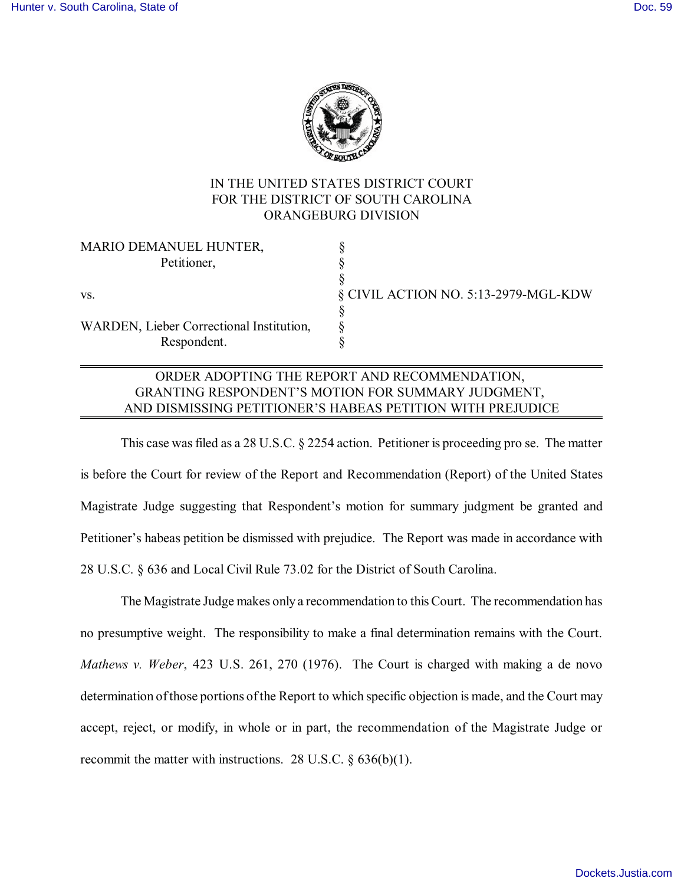

## IN THE UNITED STATES DISTRICT COURT FOR THE DISTRICT OF SOUTH CAROLINA ORANGEBURG DIVISION

| MARIO DEMANUEL HUNTER,                   |                                      |
|------------------------------------------|--------------------------------------|
| Petitioner,                              |                                      |
|                                          |                                      |
| VS.                                      | § CIVIL ACTION NO. 5:13-2979-MGL-KDW |
|                                          |                                      |
| WARDEN, Lieber Correctional Institution, |                                      |
| Respondent.                              |                                      |
|                                          |                                      |

## ORDER ADOPTING THE REPORT AND RECOMMENDATION, GRANTING RESPONDENT'S MOTION FOR SUMMARY JUDGMENT, AND DISMISSING PETITIONER'S HABEAS PETITION WITH PREJUDICE

This case was filed as a 28 U.S.C. § 2254 action. Petitioner is proceeding pro se. The matter is before the Court for review of the Report and Recommendation (Report) of the United States Magistrate Judge suggesting that Respondent's motion for summary judgment be granted and Petitioner's habeas petition be dismissed with prejudice. The Report was made in accordance with 28 U.S.C. § 636 and Local Civil Rule 73.02 for the District of South Carolina.

The Magistrate Judge makes only a recommendation to this Court. The recommendation has no presumptive weight. The responsibility to make a final determination remains with the Court. *Mathews v. Weber*, 423 U.S. 261, 270 (1976). The Court is charged with making a de novo determination of those portions of the Report to which specific objection is made, and the Court may accept, reject, or modify, in whole or in part, the recommendation of the Magistrate Judge or recommit the matter with instructions. 28 U.S.C.  $\S$  636(b)(1).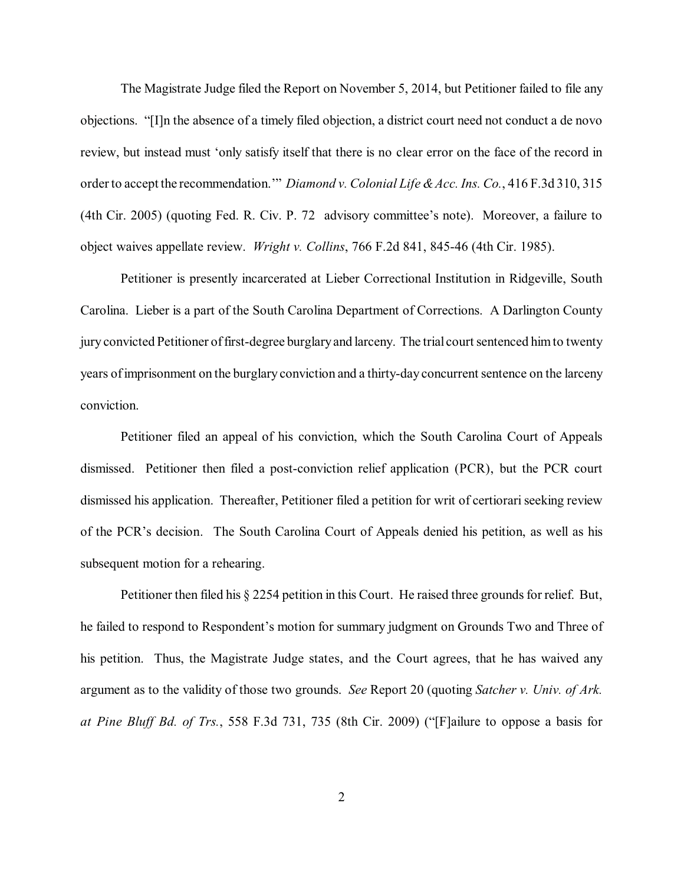The Magistrate Judge filed the Report on November 5, 2014, but Petitioner failed to file any objections. "[I]n the absence of a timely filed objection, a district court need not conduct a de novo review, but instead must 'only satisfy itself that there is no clear error on the face of the record in order to accept the recommendation.'" *Diamond v. Colonial Life & Acc. Ins. Co.*, 416 F.3d 310, 315 (4th Cir. 2005) (quoting Fed. R. Civ. P. 72 advisory committee's note). Moreover, a failure to object waives appellate review. *Wright v. Collins*, 766 F.2d 841, 845-46 (4th Cir. 1985).

Petitioner is presently incarcerated at Lieber Correctional Institution in Ridgeville, South Carolina. Lieber is a part of the South Carolina Department of Corrections. A Darlington County jury convicted Petitioner of first-degree burglary and larceny. The trial court sentenced him to twenty years of imprisonment on the burglary conviction and a thirty-day concurrent sentence on the larceny conviction.

Petitioner filed an appeal of his conviction, which the South Carolina Court of Appeals dismissed. Petitioner then filed a post-conviction relief application (PCR), but the PCR court dismissed his application. Thereafter, Petitioner filed a petition for writ of certiorari seeking review of the PCR's decision. The South Carolina Court of Appeals denied his petition, as well as his subsequent motion for a rehearing.

Petitioner then filed his § 2254 petition in this Court. He raised three grounds for relief. But, he failed to respond to Respondent's motion for summary judgment on Grounds Two and Three of his petition. Thus, the Magistrate Judge states, and the Court agrees, that he has waived any argument as to the validity of those two grounds. *See* Report 20 (quoting *Satcher v. Univ. of Ark. at Pine Bluff Bd. of Trs.*, 558 F.3d 731, 735 (8th Cir. 2009) ("[F]ailure to oppose a basis for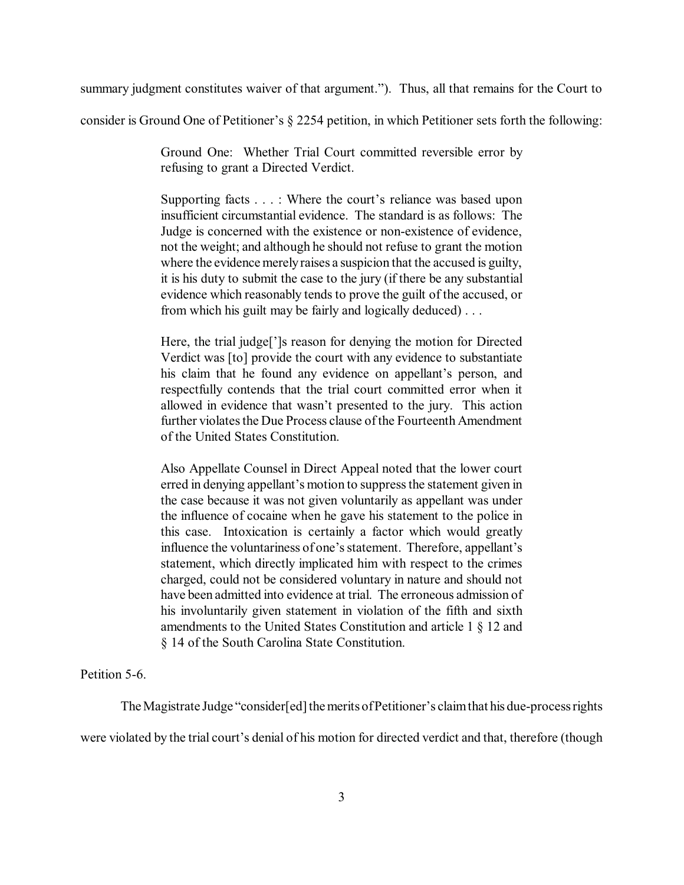summary judgment constitutes waiver of that argument."). Thus, all that remains for the Court to

consider is Ground One of Petitioner's § 2254 petition, in which Petitioner sets forth the following:

Ground One: Whether Trial Court committed reversible error by refusing to grant a Directed Verdict.

Supporting facts . . . : Where the court's reliance was based upon insufficient circumstantial evidence. The standard is as follows: The Judge is concerned with the existence or non-existence of evidence, not the weight; and although he should not refuse to grant the motion where the evidence merely raises a suspicion that the accused is guilty, it is his duty to submit the case to the jury (if there be any substantial evidence which reasonably tends to prove the guilt of the accused, or from which his guilt may be fairly and logically deduced) . . .

Here, the trial judge[']s reason for denying the motion for Directed Verdict was [to] provide the court with any evidence to substantiate his claim that he found any evidence on appellant's person, and respectfully contends that the trial court committed error when it allowed in evidence that wasn't presented to the jury. This action further violates the Due Process clause of the Fourteenth Amendment of the United States Constitution.

Also Appellate Counsel in Direct Appeal noted that the lower court erred in denying appellant's motion to suppress the statement given in the case because it was not given voluntarily as appellant was under the influence of cocaine when he gave his statement to the police in this case. Intoxication is certainly a factor which would greatly influence the voluntariness of one's statement. Therefore, appellant's statement, which directly implicated him with respect to the crimes charged, could not be considered voluntary in nature and should not have been admitted into evidence at trial. The erroneous admission of his involuntarily given statement in violation of the fifth and sixth amendments to the United States Constitution and article 1 § 12 and § 14 of the South Carolina State Constitution.

Petition 5-6.

The Magistrate Judge "consider[ed] the merits of Petitioner's claim that his due-process rights were violated by the trial court's denial of his motion for directed verdict and that, therefore (though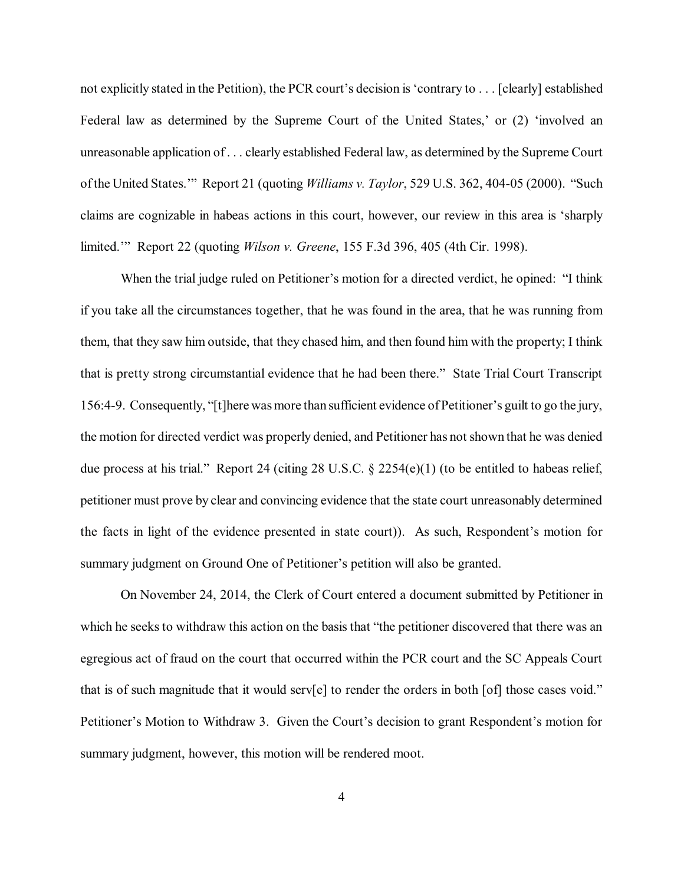not explicitly stated in the Petition), the PCR court's decision is 'contrary to . . . [clearly] established Federal law as determined by the Supreme Court of the United States,' or (2) 'involved an unreasonable application of . . . clearly established Federal law, as determined by the Supreme Court of the United States.'" Report 21 (quoting *Williams v. Taylor*, 529 U.S. 362, 404-05 (2000). "Such claims are cognizable in habeas actions in this court, however, our review in this area is 'sharply limited.'" Report 22 (quoting *Wilson v. Greene*, 155 F.3d 396, 405 (4th Cir. 1998).

When the trial judge ruled on Petitioner's motion for a directed verdict, he opined: "I think if you take all the circumstances together, that he was found in the area, that he was running from them, that they saw him outside, that they chased him, and then found him with the property; I think that is pretty strong circumstantial evidence that he had been there." State Trial Court Transcript 156:4-9. Consequently, "[t]here was more than sufficient evidence of Petitioner's guilt to go the jury, the motion for directed verdict was properly denied, and Petitioner has not shown that he was denied due process at his trial." Report 24 (citing 28 U.S.C. § 2254(e)(1) (to be entitled to habeas relief, petitioner must prove by clear and convincing evidence that the state court unreasonably determined the facts in light of the evidence presented in state court)). As such, Respondent's motion for summary judgment on Ground One of Petitioner's petition will also be granted.

On November 24, 2014, the Clerk of Court entered a document submitted by Petitioner in which he seeks to withdraw this action on the basis that "the petitioner discovered that there was an egregious act of fraud on the court that occurred within the PCR court and the SC Appeals Court that is of such magnitude that it would serv[e] to render the orders in both [of] those cases void." Petitioner's Motion to Withdraw 3. Given the Court's decision to grant Respondent's motion for summary judgment, however, this motion will be rendered moot.